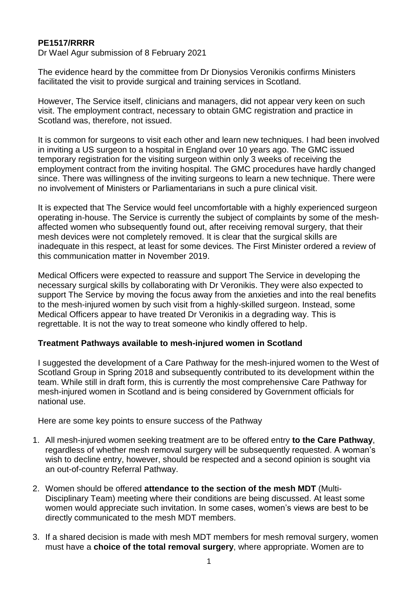### **PE1517/RRRR**

Dr Wael Agur submission of 8 February 2021

The evidence heard by the committee from Dr Dionysios Veronikis confirms Ministers facilitated the visit to provide surgical and training services in Scotland.

However, The Service itself, clinicians and managers, did not appear very keen on such visit. The employment contract, necessary to obtain GMC registration and practice in Scotland was, therefore, not issued.

It is common for surgeons to visit each other and learn new techniques. I had been involved in inviting a US surgeon to a hospital in England over 10 years ago. The GMC issued temporary registration for the visiting surgeon within only 3 weeks of receiving the employment contract from the inviting hospital. The GMC procedures have hardly changed since. There was willingness of the inviting surgeons to learn a new technique. There were no involvement of Ministers or Parliamentarians in such a pure clinical visit.

It is expected that The Service would feel uncomfortable with a highly experienced surgeon operating in-house. The Service is currently the subject of complaints by some of the meshaffected women who subsequently found out, after receiving removal surgery, that their mesh devices were not completely removed. It is clear that the surgical skills are inadequate in this respect, at least for some devices. The First Minister ordered a review of this communication matter in November 2019.

Medical Officers were expected to reassure and support The Service in developing the necessary surgical skills by collaborating with Dr Veronikis. They were also expected to support The Service by moving the focus away from the anxieties and into the real benefits to the mesh-injured women by such visit from a highly-skilled surgeon. Instead, some Medical Officers appear to have treated Dr Veronikis in a degrading way. This is regrettable. It is not the way to treat someone who kindly offered to help.

#### **Treatment Pathways available to mesh-injured women in Scotland**

I suggested the development of a Care Pathway for the mesh-injured women to the West of Scotland Group in Spring 2018 and subsequently contributed to its development within the team. While still in draft form, this is currently the most comprehensive Care Pathway for mesh-injured women in Scotland and is being considered by Government officials for national use.

Here are some key points to ensure success of the Pathway

- 1. All mesh-injured women seeking treatment are to be offered entry **to the Care Pathway**, regardless of whether mesh removal surgery will be subsequently requested. A woman's wish to decline entry, however, should be respected and a second opinion is sought via an out-of-country Referral Pathway.
- 2. Women should be offered **attendance to the section of the mesh MDT** (Multi-Disciplinary Team) meeting where their conditions are being discussed. At least some women would appreciate such invitation. In some cases, women's views are best to be directly communicated to the mesh MDT members.
- 3. If a shared decision is made with mesh MDT members for mesh removal surgery, women must have a **choice of the total removal surgery**, where appropriate. Women are to